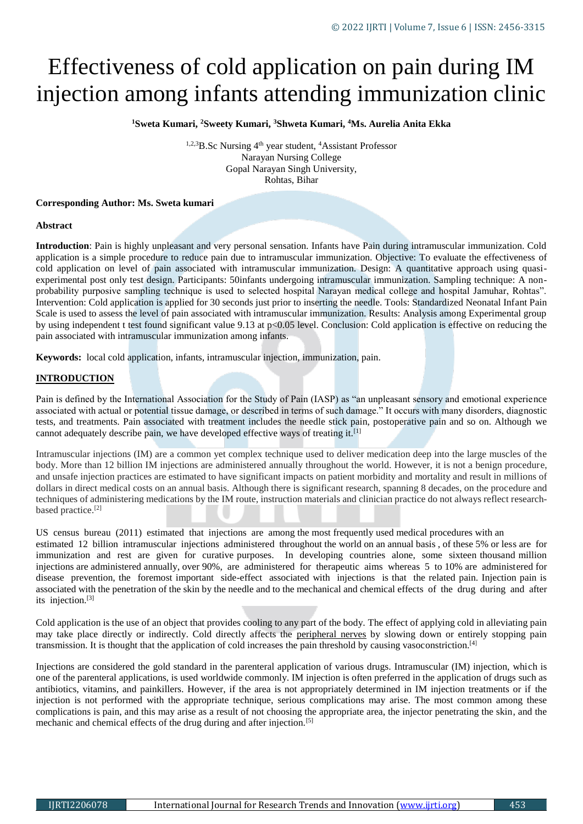# Effectiveness of cold application on pain during IM injection among infants attending immunization clinic

**<sup>1</sup>Sweta Kumari, <sup>2</sup>Sweety Kumari, <sup>3</sup>Shweta Kumari, <sup>4</sup>Ms. Aurelia Anita Ekka**

<sup>1,2,3</sup>B.Sc Nursing <sup>4th</sup> year student, <sup>4</sup>Assistant Professor Narayan Nursing College Gopal Narayan Singh University, Rohtas, Bihar

## **Corresponding Author: Ms. Sweta kumari**

#### **Abstract**

**Introduction**: Pain is highly unpleasant and very personal sensation. Infants have Pain during intramuscular immunization. Cold application is a simple procedure to reduce pain due to intramuscular immunization. Objective: To evaluate the effectiveness of cold application on level of pain associated with intramuscular immunization. Design: A quantitative approach using quasiexperimental post only test design. Participants: 50infants undergoing intramuscular immunization. Sampling technique: A nonprobability purposive sampling technique is used to selected hospital Narayan medical college and hospital Jamuhar, Rohtas". Intervention: Cold application is applied for 30 seconds just prior to inserting the needle. Tools: Standardized Neonatal Infant Pain Scale is used to assess the level of pain associated with intramuscular immunization. Results: Analysis among Experimental group by using independent t test found significant value 9.13 at p<0.05 level. Conclusion: Cold application is effective on reducing the pain associated with intramuscular immunization among infants.

**Keywords:** local cold application, infants, intramuscular injection, immunization, pain.

## **INTRODUCTION**

Pain is defined by the International Association for the Study of Pain (IASP) as "an unpleasant sensory and emotional experience associated with actual or potential tissue damage, or described in terms of such damage." It occurs with many disorders, diagnostic tests, and treatments. Pain associated with treatment includes the needle stick pain, postoperative pain and so on. Although we cannot adequately describe pain, we have developed effective ways of treating it.[1]

Intramuscular injections (IM) are a common yet complex technique used to deliver medication deep into the large muscles of the body. More than 12 billion IM injections are administered annually throughout the world. However, it is not a benign procedure, and unsafe injection practices are estimated to have significant impacts on patient morbidity and mortality and result in millions of dollars in direct medical costs on an annual basis. Although there is significant research, spanning 8 decades, on the procedure and techniques of administering medications by the IM route, instruction materials and clinician practice do not always reflect researchbased practice.<sup>[2]</sup>

US census bureau (2011) estimated that injections are among the most frequently used medical procedures with an estimated 12 billion intramuscular injections administered throughout the world on an annual basis , of these 5% or less are for immunization and rest are given for curative purposes. In developing countries alone, some sixteen thousand million injections are administered annually, over 90%, are administered for therapeutic aims whereas 5 to 10% are administered for disease prevention, the foremost important side-effect associated with injections is that the related pain. Injection pain is associated with the penetration of the skin by the needle and to the mechanical and chemical effects of the drug during and after its injection.[3]

Cold application is the use of an object that provides cooling to any part of the body. The effect of applying cold in alleviating pain may take place directly or indirectly. Cold directly affects the [peripheral nerves](https://www.sciencedirect.com/topics/medicine-and-dentistry/peripheral-nerve) by slowing down or entirely stopping pain transmission. It is thought that the application of cold increases the pain threshold by causing vasoconstriction.[4]

Injections are considered the gold standard in the parenteral application of various drugs. Intramuscular (IM) injection, which is one of the parenteral applications, is used worldwide commonly. IM injection is often preferred in the application of drugs such as antibiotics, vitamins, and painkillers. However, if the area is not appropriately determined in IM injection treatments or if the injection is not performed with the appropriate technique, serious complications may arise. The most common among these complications is pain, and this may arise as a result of not choosing the appropriate area, the injector penetrating the skin, and the mechanic and chemical effects of the drug during and after injection.[5]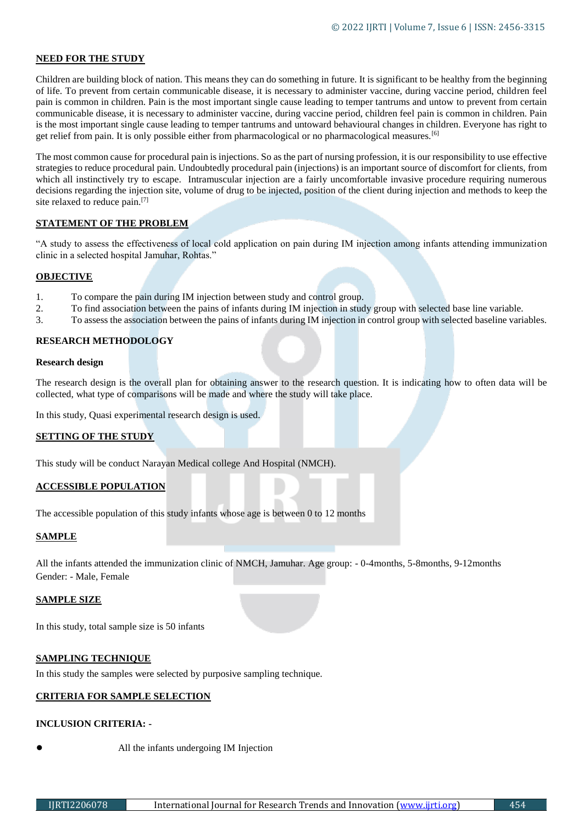# **NEED FOR THE STUDY**

Children are building block of nation. This means they can do something in future. It is significant to be healthy from the beginning of life. To prevent from certain communicable disease, it is necessary to administer vaccine, during vaccine period, children feel pain is common in children. Pain is the most important single cause leading to temper tantrums and untow to prevent from certain communicable disease, it is necessary to administer vaccine, during vaccine period, children feel pain is common in children. Pain is the most important single cause leading to temper tantrums and untoward behavioural changes in children. Everyone has right to get relief from pain. It is only possible either from pharmacological or no pharmacological measures.[6]

The most common cause for procedural pain is injections. So as the part of nursing profession, it is our responsibility to use effective strategies to reduce procedural pain. Undoubtedly procedural pain (injections) is an important source of discomfort for clients, from which all instinctively try to escape. Intramuscular injection are a fairly uncomfortable invasive procedure requiring numerous decisions regarding the injection site, volume of drug to be injected, position of the client during injection and methods to keep the site relaxed to reduce pain.<sup>[7]</sup>

# **STATEMENT OF THE PROBLEM**

"A study to assess the effectiveness of local cold application on pain during IM injection among infants attending immunization clinic in a selected hospital Jamuhar, Rohtas."

# **OBJECTIVE**

- 1. To compare the pain during IM injection between study and control group.
- 2. To find association between the pains of infants during IM injection in study group with selected base line variable.
- 3. To assess the association between the pains of infants during IM injection in control group with selected baseline variables.

# **RESEARCH METHODOLOGY**

## **Research design**

The research design is the overall plan for obtaining answer to the research question. It is indicating how to often data will be collected, what type of comparisons will be made and where the study will take place.

In this study, Quasi experimental research design is used.

# **SETTING OF THE STUDY**

This study will be conduct Narayan Medical college And Hospital (NMCH).

# **ACCESSIBLE POPULATION**

The accessible population of this study infants whose age is between 0 to 12 months

# **SAMPLE**

All the infants attended the immunization clinic of NMCH, Jamuhar. Age group: - 0-4months, 5-8months, 9-12months Gender: - Male, Female

#### **SAMPLE SIZE**

In this study, total sample size is 50 infants

# **SAMPLING TECHNIQUE**

In this study the samples were selected by purposive sampling technique.

# **CRITERIA FOR SAMPLE SELECTION**

# **INCLUSION CRITERIA: -**

- 
- All the infants undergoing IM Injection

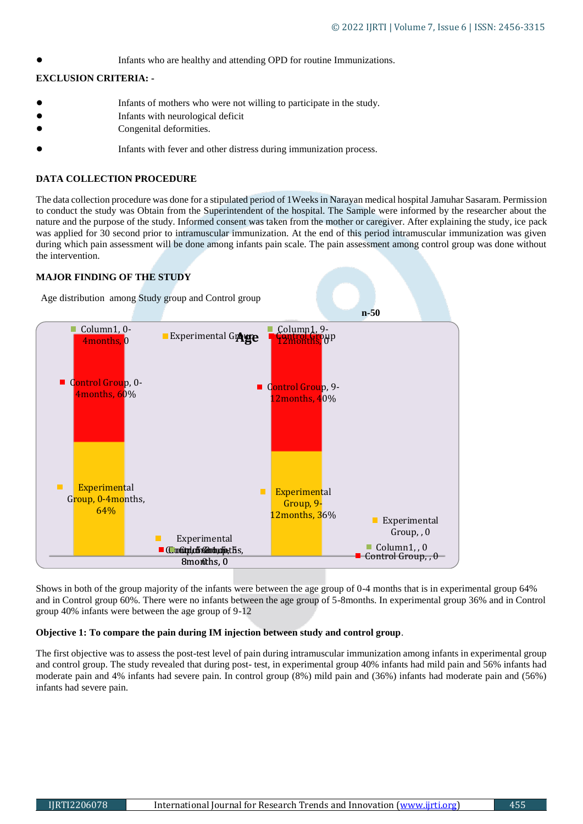Infants who are healthy and attending OPD for routine Immunizations.

# **EXCLUSION CRITERIA: -**

- Infants of mothers who were not willing to participate in the study.
- Infants with neurological deficit
- Congenital deformities.
- Infants with fever and other distress during immunization process.

# **DATA COLLECTION PROCEDURE**

The data collection procedure was done for a stipulated period of 1Weeks in Narayan medical hospital Jamuhar Sasaram. Permission to conduct the study was Obtain from the Superintendent of the hospital. The Sample were informed by the researcher about the nature and the purpose of the study. Informed consent was taken from the mother or caregiver. After explaining the study, ice pack was applied for 30 second prior to intramuscular immunization. At the end of this period intramuscular immunization was given during which pain assessment will be done among infants pain scale. The pain assessment among control group was done without the intervention.

# **MAJOR FINDING OF THE STUDY**



Shows in both of the group majority of the infants were between the age group of 0-4 months that is in experimental group 64% and in Control group 60%. There were no infants between the age group of 5-8months. In experimental group 36% and in Control group 40% infants were between the age group of 9-12

# **Objective 1: To compare the pain during IM injection between study and control group**.

The first objective was to assess the post-test level of pain during intramuscular immunization among infants in experimental group and control group. The study revealed that during post- test, in experimental group 40% infants had mild pain and 56% infants had moderate pain and 4% infants had severe pain. In control group (8%) mild pain and (36%) infants had moderate pain and (56%) infants had severe pain.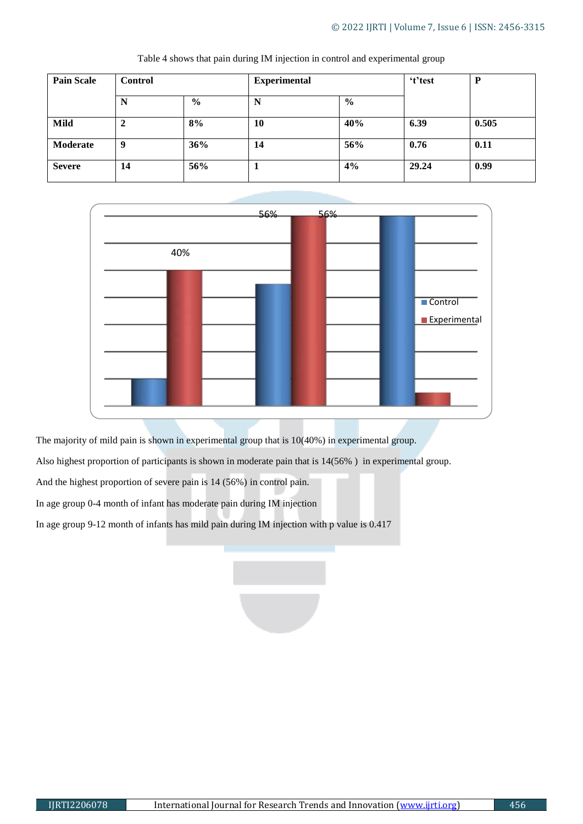| <b>Pain Scale</b> | <b>Control</b> |               | <b>Experimental</b> |               | 't'test | P     |
|-------------------|----------------|---------------|---------------------|---------------|---------|-------|
|                   | N              | $\frac{0}{0}$ | N                   | $\frac{0}{0}$ |         |       |
| Mild              | ∍<br>◢         | 8%            | <b>10</b>           | 40%           | 6.39    | 0.505 |
| Moderate          | - 9            | 36%           | 14                  | 56%           | 0.76    | 0.11  |
| <b>Severe</b>     | 14             | 56%           |                     | 4%            | 29.24   | 0.99  |

Table 4 shows that pain during IM injection in control and experimental group



The majority of mild pain is shown in experimental group that is 10(40%) in experimental group.

Also highest proportion of participants is shown in moderate pain that is 14(56% ) in experimental group.

And the highest proportion of severe pain is 14 (56%) in control pain.

In age group 0-4 month of infant has moderate pain during IM injection

In age group 9-12 month of infants has mild pain during IM injection with p value is 0.417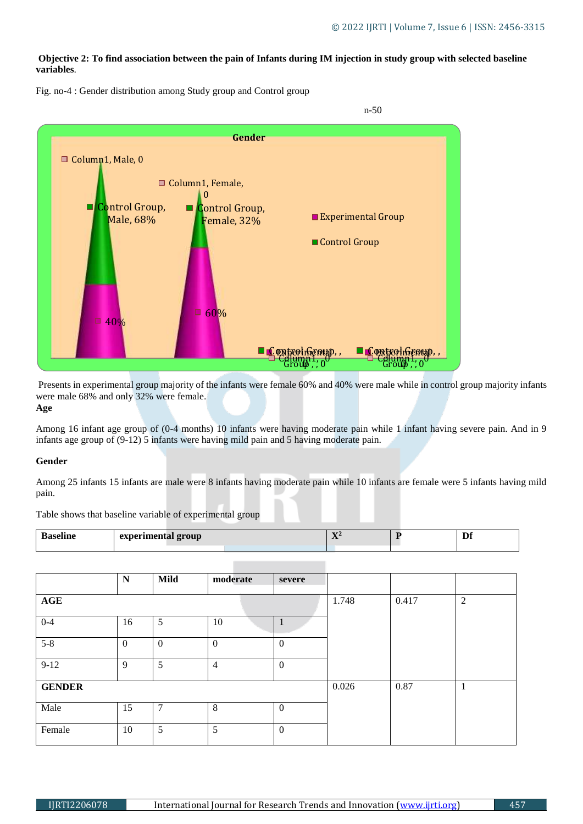# **Objective 2: To find association between the pain of Infants during IM injection in study group with selected baseline variables**.



Fig. no-4 : Gender distribution among Study group and Control group

Presents in experimental group majority of the infants were female 60% and 40% were male while in control group majority infants were male 68% and only 32% were female.

**Age**

Among 16 infant age group of (0-4 months) 10 infants were having moderate pain while 1 infant having severe pain. And in 9 infants age group of (9-12) 5 infants were having mild pain and 5 having moderate pain.

#### **Gender**

Among 25 infants 15 infants are male were 8 infants having moderate pain while 10 infants are female were 5 infants having mild pain.

Table shows that baseline variable of experimental group

| 0.00 | experimental group | $-$<br>$\mathbf{A}$ | Df.<br>ΨI |
|------|--------------------|---------------------|-----------|
|      |                    |                     |           |

|               | N            | <b>Mild</b>    | moderate         | severe           |       |      |  |
|---------------|--------------|----------------|------------------|------------------|-------|------|--|
| AGE           |              | 1.748          | 0.417            | $\overline{2}$   |       |      |  |
| $0 - 4$       | 16           | 5              | 10               | Л                |       |      |  |
| $5 - 8$       | $\mathbf{0}$ | $\mathbf{0}$   | $\boldsymbol{0}$ | $\overline{0}$   |       |      |  |
| $9-12$        | 9            | 5              | $\overline{4}$   | $\boldsymbol{0}$ |       |      |  |
| <b>GENDER</b> |              |                |                  |                  | 0.026 | 0.87 |  |
| Male          | 15           | $\overline{7}$ | 8                | $\boldsymbol{0}$ |       |      |  |
| Female        | 10           | 5              | 5                | $\overline{0}$   |       |      |  |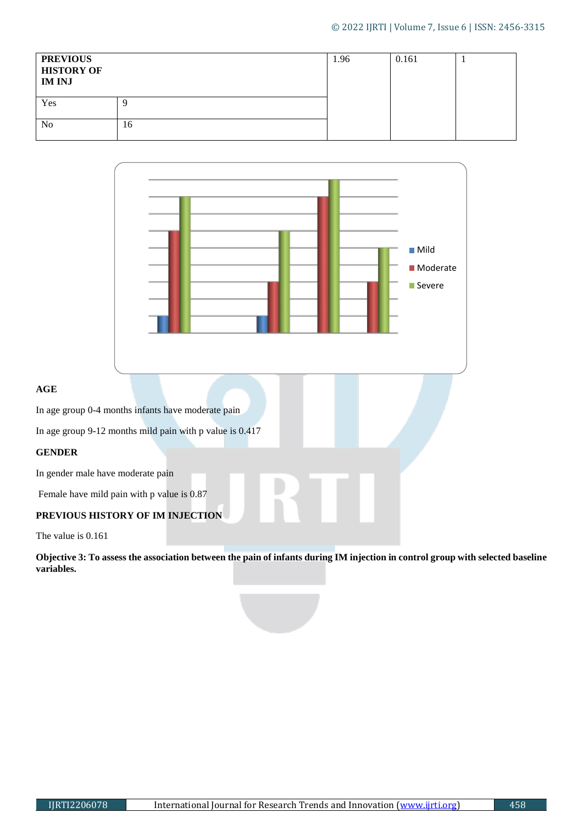| <b>PREVIOUS</b><br><b>HISTORY OF</b><br><b>IM INJ</b> |    | 1.96 | 0.161 |  |
|-------------------------------------------------------|----|------|-------|--|
| Yes                                                   |    |      |       |  |
| N <sub>o</sub>                                        | 16 |      |       |  |



The value is 0.161

**AGE**

**Objective 3: To assess the association between the pain of infants during IM injection in control group with selected baseline variables.**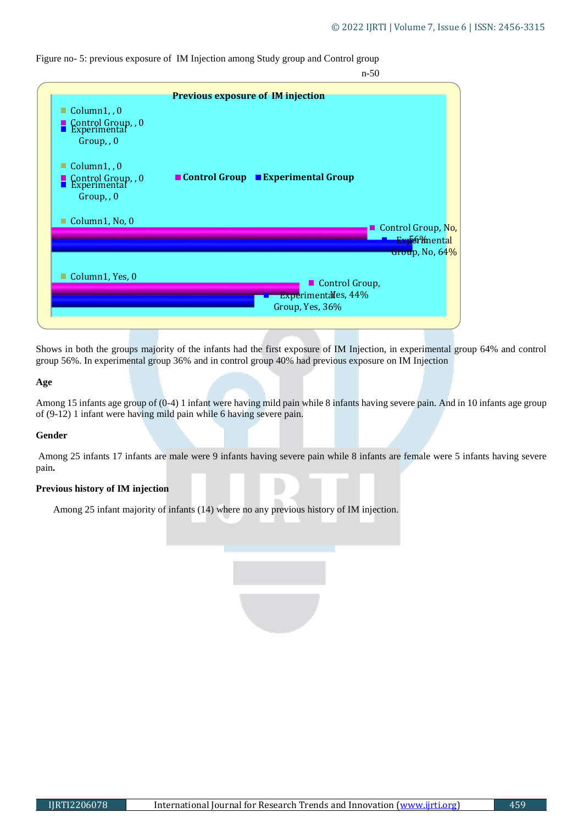Figure no- 5: previous exposure of IM Injection among Study group and Control group



Shows in both the groups majority of the infants had the first exposure of IM Injection, in experimental group 64% and control group 56%. In experimental group 36% and in control group 40% had previous exposure on IM Injection

#### **Age**

Among 15 infants age group of (0-4) 1 infant were having mild pain while 8 infants having severe pain. And in 10 infants age group of (9-12) 1 infant were having mild pain while 6 having severe pain.

#### **Gender**

Among 25 infants 17 infants are male were 9 infants having severe pain while 8 infants are female were 5 infants having severe pain**.**

## **Previous history of IM injection**

Among 25 infant majority of infants (14) where no any previous history of IM injection.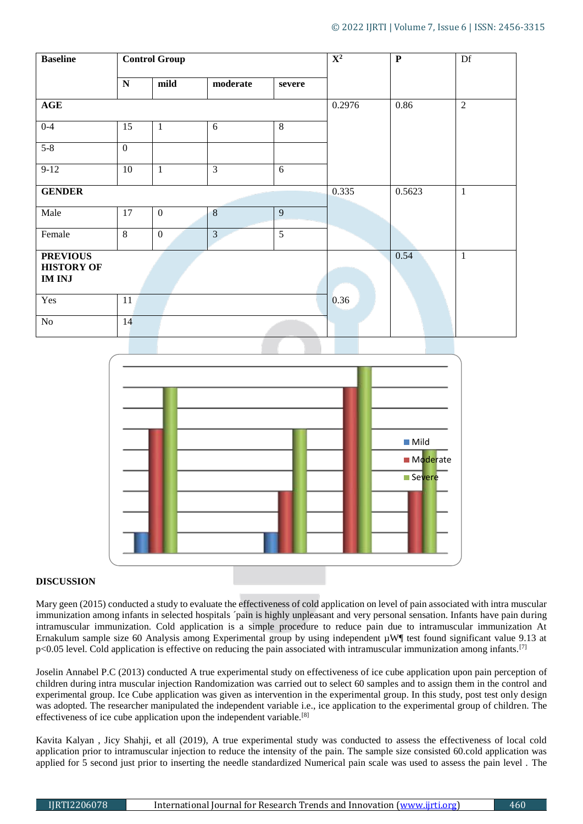| <b>Baseline</b>                                       | <b>Control Group</b> |              |                         |                | $\overline{\mathbf{X}^2}$ | ${\bf P}$      | Df           |
|-------------------------------------------------------|----------------------|--------------|-------------------------|----------------|---------------------------|----------------|--------------|
|                                                       | ${\bf N}$            | mild         | moderate                | severe         |                           |                |              |
| $\mathbf{AGE}$                                        |                      |              |                         | 0.2976         | 0.86                      | $\overline{2}$ |              |
| $0 - 4$                                               | 15                   | $\mathbf{1}$ | 6                       | $\overline{8}$ |                           |                |              |
| $5 - 8$                                               | $\mathbf{0}$         |              |                         |                |                           |                |              |
| $9-12$                                                | 10                   | $\mathbf{1}$ | $\overline{\mathbf{3}}$ | $6\,$          |                           |                |              |
| <b>GENDER</b>                                         |                      |              |                         |                | 0.335                     | 0.5623         | $\mathbf{1}$ |
| Male                                                  | 17                   | $\mathbf{0}$ | 8                       | 9              |                           |                |              |
| Female                                                | $\overline{8}$       | $\mathbf{0}$ | $\overline{\mathbf{3}}$ | $\overline{5}$ |                           |                |              |
| <b>PREVIOUS</b><br><b>HISTORY OF</b><br><b>IM INJ</b> |                      |              |                         |                |                           | 0.54           | $\mathbf{1}$ |
| Yes                                                   | 11                   |              |                         |                | 0.36                      |                |              |
| $\rm No$                                              | 14                   |              |                         |                |                           |                |              |



# **DISCUSSION**

Mary geen (2015) conducted a study to evaluate the effectiveness of cold application on level of pain associated with intra muscular immunization among infants in selected hospitals ´pain is highly unpleasant and very personal sensation. Infants have pain during intramuscular immunization. Cold application is a simple procedure to reduce pain due to intramuscular immunization At Ernakulum sample size 60 Analysis among Experimental group by using independent  $\mu$ W¶ test found significant value 9.13 at p<0.05 level. Cold application is effective on reducing the pain associated with intramuscular immunization among infants.[7]

Joselin Annabel P.C (2013) conducted A true experimental study on effectiveness of ice cube application upon pain perception of children during intra muscular injection Randomization was carried out to select 60 samples and to assign them in the control and experimental group. Ice Cube application was given as intervention in the experimental group. In this study, post test only design was adopted. The researcher manipulated the independent variable i.e., ice application to the experimental group of children. The effectiveness of ice cube application upon the independent variable.[8]

Kavita Kalyan , Jicy Shahji, et all (2019), A true experimental study was conducted to assess the effectiveness of local cold application prior to intramuscular injection to reduce the intensity of the pain. The sample size consisted 60.cold application was applied for 5 second just prior to inserting the needle standardized Numerical pain scale was used to assess the pain level . The